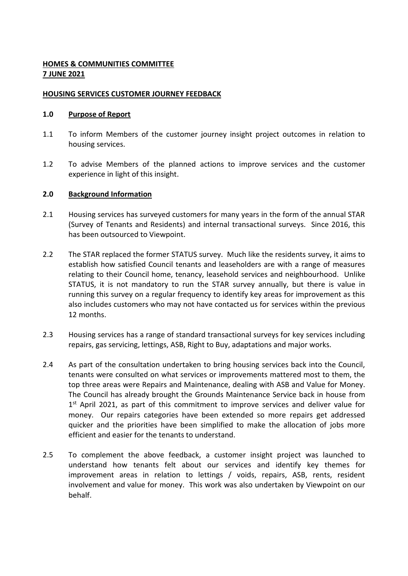# **HOMES & COMMUNITIES COMMITTEE 7 JUNE 2021**

### **HOUSING SERVICES CUSTOMER JOURNEY FEEDBACK**

### **1.0 Purpose of Report**

- 1.1 To inform Members of the customer journey insight project outcomes in relation to housing services.
- 1.2 To advise Members of the planned actions to improve services and the customer experience in light of this insight.

### **2.0 Background Information**

- 2.1 Housing services has surveyed customers for many years in the form of the annual STAR (Survey of Tenants and Residents) and internal transactional surveys. Since 2016, this has been outsourced to Viewpoint.
- 2.2 The STAR replaced the former STATUS survey. Much like the residents survey, it aims to establish how satisfied Council tenants and leaseholders are with a range of measures relating to their Council home, tenancy, leasehold services and neighbourhood. Unlike STATUS, it is not mandatory to run the STAR survey annually, but there is value in running this survey on a regular frequency to identify key areas for improvement as this also includes customers who may not have contacted us for services within the previous 12 months.
- 2.3 Housing services has a range of standard transactional surveys for key services including repairs, gas servicing, lettings, ASB, Right to Buy, adaptations and major works.
- 2.4 As part of the consultation undertaken to bring housing services back into the Council, tenants were consulted on what services or improvements mattered most to them, the top three areas were Repairs and Maintenance, dealing with ASB and Value for Money. The Council has already brought the Grounds Maintenance Service back in house from 1<sup>st</sup> April 2021, as part of this commitment to improve services and deliver value for money. Our repairs categories have been extended so more repairs get addressed quicker and the priorities have been simplified to make the allocation of jobs more efficient and easier for the tenants to understand.
- 2.5 To complement the above feedback, a customer insight project was launched to understand how tenants felt about our services and identify key themes for improvement areas in relation to lettings / voids, repairs, ASB, rents, resident involvement and value for money. This work was also undertaken by Viewpoint on our behalf.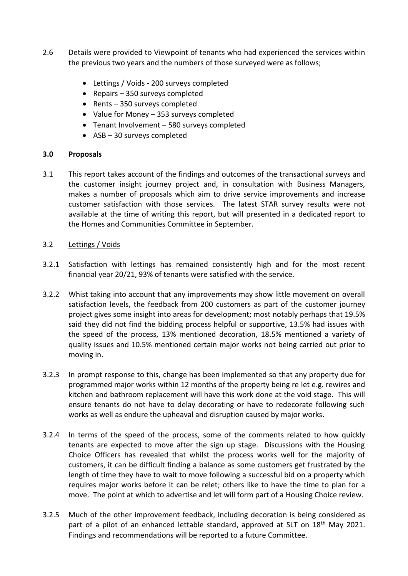- 2.6 Details were provided to Viewpoint of tenants who had experienced the services within the previous two years and the numbers of those surveyed were as follows;
	- Lettings / Voids 200 surveys completed
	- Repairs  $-350$  surveys completed
	- Rents 350 surveys completed
	- Value for Money 353 surveys completed
	- Tenant Involvement 580 surveys completed
	- ASB 30 surveys completed

# **3.0 Proposals**

3.1 This report takes account of the findings and outcomes of the transactional surveys and the customer insight journey project and, in consultation with Business Managers, makes a number of proposals which aim to drive service improvements and increase customer satisfaction with those services. The latest STAR survey results were not available at the time of writing this report, but will presented in a dedicated report to the Homes and Communities Committee in September.

# 3.2 Lettings / Voids

- 3.2.1 Satisfaction with lettings has remained consistently high and for the most recent financial year 20/21, 93% of tenants were satisfied with the service.
- 3.2.2 Whist taking into account that any improvements may show little movement on overall satisfaction levels, the feedback from 200 customers as part of the customer journey project gives some insight into areas for development; most notably perhaps that 19.5% said they did not find the bidding process helpful or supportive, 13.5% had issues with the speed of the process, 13% mentioned decoration, 18.5% mentioned a variety of quality issues and 10.5% mentioned certain major works not being carried out prior to moving in.
- 3.2.3 In prompt response to this, change has been implemented so that any property due for programmed major works within 12 months of the property being re let e.g. rewires and kitchen and bathroom replacement will have this work done at the void stage. This will ensure tenants do not have to delay decorating or have to redecorate following such works as well as endure the upheaval and disruption caused by major works.
- 3.2.4 In terms of the speed of the process, some of the comments related to how quickly tenants are expected to move after the sign up stage. Discussions with the Housing Choice Officers has revealed that whilst the process works well for the majority of customers, it can be difficult finding a balance as some customers get frustrated by the length of time they have to wait to move following a successful bid on a property which requires major works before it can be relet; others like to have the time to plan for a move. The point at which to advertise and let will form part of a Housing Choice review.
- 3.2.5 Much of the other improvement feedback, including decoration is being considered as part of a pilot of an enhanced lettable standard, approved at SLT on 18<sup>th</sup> May 2021. Findings and recommendations will be reported to a future Committee.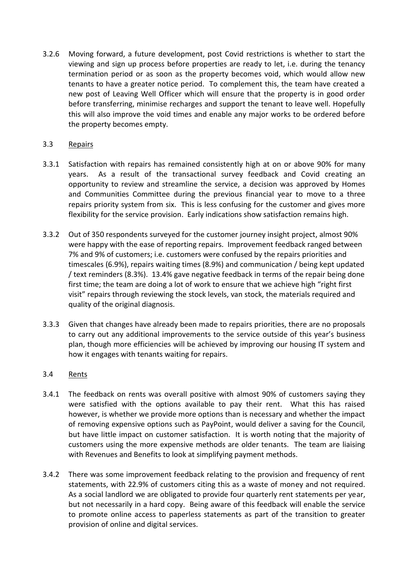3.2.6 Moving forward, a future development, post Covid restrictions is whether to start the viewing and sign up process before properties are ready to let, i.e. during the tenancy termination period or as soon as the property becomes void, which would allow new tenants to have a greater notice period. To complement this, the team have created a new post of Leaving Well Officer which will ensure that the property is in good order before transferring, minimise recharges and support the tenant to leave well. Hopefully this will also improve the void times and enable any major works to be ordered before the property becomes empty.

## 3.3 Repairs

- 3.3.1 Satisfaction with repairs has remained consistently high at on or above 90% for many years. As a result of the transactional survey feedback and Covid creating an opportunity to review and streamline the service, a decision was approved by Homes and Communities Committee during the previous financial year to move to a three repairs priority system from six. This is less confusing for the customer and gives more flexibility for the service provision. Early indications show satisfaction remains high.
- 3.3.2 Out of 350 respondents surveyed for the customer journey insight project, almost 90% were happy with the ease of reporting repairs. Improvement feedback ranged between 7% and 9% of customers; i.e. customers were confused by the repairs priorities and timescales (6.9%), repairs waiting times (8.9%) and communication / being kept updated / text reminders (8.3%). 13.4% gave negative feedback in terms of the repair being done first time; the team are doing a lot of work to ensure that we achieve high "right first visit" repairs through reviewing the stock levels, van stock, the materials required and quality of the original diagnosis.
- 3.3.3 Given that changes have already been made to repairs priorities, there are no proposals to carry out any additional improvements to the service outside of this year's business plan, though more efficiencies will be achieved by improving our housing IT system and how it engages with tenants waiting for repairs.

# 3.4 Rents

- 3.4.1 The feedback on rents was overall positive with almost 90% of customers saying they were satisfied with the options available to pay their rent. What this has raised however, is whether we provide more options than is necessary and whether the impact of removing expensive options such as PayPoint, would deliver a saving for the Council, but have little impact on customer satisfaction. It is worth noting that the majority of customers using the more expensive methods are older tenants. The team are liaising with Revenues and Benefits to look at simplifying payment methods.
- 3.4.2 There was some improvement feedback relating to the provision and frequency of rent statements, with 22.9% of customers citing this as a waste of money and not required. As a social landlord we are obligated to provide four quarterly rent statements per year, but not necessarily in a hard copy. Being aware of this feedback will enable the service to promote online access to paperless statements as part of the transition to greater provision of online and digital services.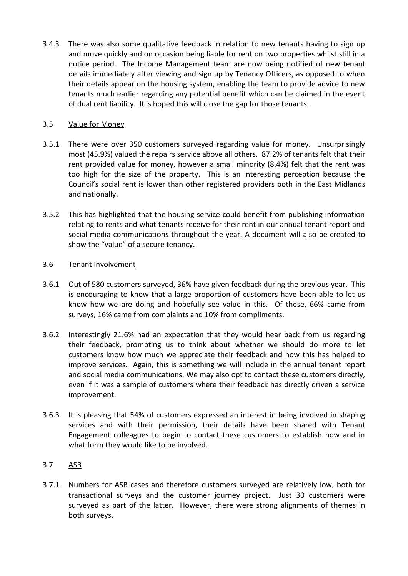3.4.3 There was also some qualitative feedback in relation to new tenants having to sign up and move quickly and on occasion being liable for rent on two properties whilst still in a notice period. The Income Management team are now being notified of new tenant details immediately after viewing and sign up by Tenancy Officers, as opposed to when their details appear on the housing system, enabling the team to provide advice to new tenants much earlier regarding any potential benefit which can be claimed in the event of dual rent liability. It is hoped this will close the gap for those tenants.

## 3.5 Value for Money

- 3.5.1 There were over 350 customers surveyed regarding value for money. Unsurprisingly most (45.9%) valued the repairs service above all others. 87.2% of tenants felt that their rent provided value for money, however a small minority (8.4%) felt that the rent was too high for the size of the property. This is an interesting perception because the Council's social rent is lower than other registered providers both in the East Midlands and nationally.
- 3.5.2 This has highlighted that the housing service could benefit from publishing information relating to rents and what tenants receive for their rent in our annual tenant report and social media communications throughout the year. A document will also be created to show the "value" of a secure tenancy.

## 3.6 Tenant Involvement

- 3.6.1 Out of 580 customers surveyed, 36% have given feedback during the previous year. This is encouraging to know that a large proportion of customers have been able to let us know how we are doing and hopefully see value in this. Of these, 66% came from surveys, 16% came from complaints and 10% from compliments.
- 3.6.2 Interestingly 21.6% had an expectation that they would hear back from us regarding their feedback, prompting us to think about whether we should do more to let customers know how much we appreciate their feedback and how this has helped to improve services. Again, this is something we will include in the annual tenant report and social media communications. We may also opt to contact these customers directly, even if it was a sample of customers where their feedback has directly driven a service improvement.
- 3.6.3 It is pleasing that 54% of customers expressed an interest in being involved in shaping services and with their permission, their details have been shared with Tenant Engagement colleagues to begin to contact these customers to establish how and in what form they would like to be involved.

# 3.7 ASB

3.7.1 Numbers for ASB cases and therefore customers surveyed are relatively low, both for transactional surveys and the customer journey project. Just 30 customers were surveyed as part of the latter. However, there were strong alignments of themes in both surveys.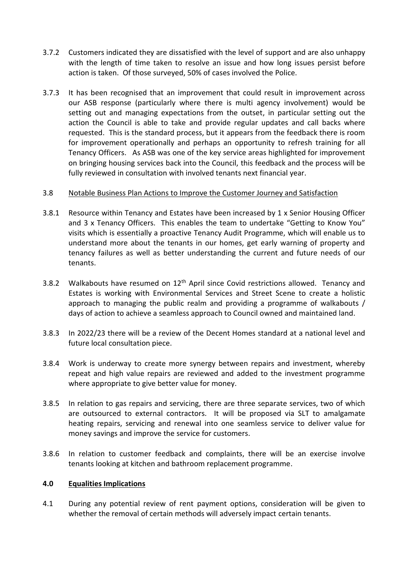- 3.7.2 Customers indicated they are dissatisfied with the level of support and are also unhappy with the length of time taken to resolve an issue and how long issues persist before action is taken. Of those surveyed, 50% of cases involved the Police.
- 3.7.3 It has been recognised that an improvement that could result in improvement across our ASB response (particularly where there is multi agency involvement) would be setting out and managing expectations from the outset, in particular setting out the action the Council is able to take and provide regular updates and call backs where requested. This is the standard process, but it appears from the feedback there is room for improvement operationally and perhaps an opportunity to refresh training for all Tenancy Officers. As ASB was one of the key service areas highlighted for improvement on bringing housing services back into the Council, this feedback and the process will be fully reviewed in consultation with involved tenants next financial year.

### 3.8 Notable Business Plan Actions to Improve the Customer Journey and Satisfaction

- 3.8.1 Resource within Tenancy and Estates have been increased by 1 x Senior Housing Officer and 3 x Tenancy Officers. This enables the team to undertake "Getting to Know You" visits which is essentially a proactive Tenancy Audit Programme, which will enable us to understand more about the tenants in our homes, get early warning of property and tenancy failures as well as better understanding the current and future needs of our tenants.
- 3.8.2 Walkabouts have resumed on 12<sup>th</sup> April since Covid restrictions allowed. Tenancy and Estates is working with Environmental Services and Street Scene to create a holistic approach to managing the public realm and providing a programme of walkabouts / days of action to achieve a seamless approach to Council owned and maintained land.
- 3.8.3 In 2022/23 there will be a review of the Decent Homes standard at a national level and future local consultation piece.
- 3.8.4 Work is underway to create more synergy between repairs and investment, whereby repeat and high value repairs are reviewed and added to the investment programme where appropriate to give better value for money.
- 3.8.5 In relation to gas repairs and servicing, there are three separate services, two of which are outsourced to external contractors. It will be proposed via SLT to amalgamate heating repairs, servicing and renewal into one seamless service to deliver value for money savings and improve the service for customers.
- 3.8.6 In relation to customer feedback and complaints, there will be an exercise involve tenants looking at kitchen and bathroom replacement programme.

### **4.0 Equalities Implications**

4.1 During any potential review of rent payment options, consideration will be given to whether the removal of certain methods will adversely impact certain tenants.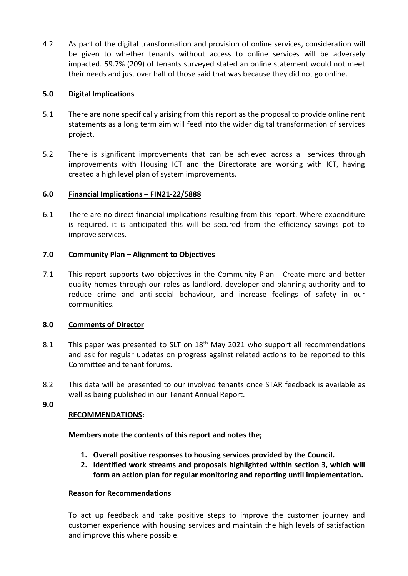4.2 As part of the digital transformation and provision of online services, consideration will be given to whether tenants without access to online services will be adversely impacted. 59.7% (209) of tenants surveyed stated an online statement would not meet their needs and just over half of those said that was because they did not go online.

# **5.0 Digital Implications**

- 5.1 There are none specifically arising from this report as the proposal to provide online rent statements as a long term aim will feed into the wider digital transformation of services project.
- 5.2 There is significant improvements that can be achieved across all services through improvements with Housing ICT and the Directorate are working with ICT, having created a high level plan of system improvements.

# **6.0 Financial Implications – FIN21-22/5888**

6.1 There are no direct financial implications resulting from this report. Where expenditure is required, it is anticipated this will be secured from the efficiency savings pot to improve services.

#### **7.0 Community Plan – Alignment to Objectives**

7.1 This report supports two objectives in the Community Plan - Create more and better quality homes through our roles as landlord, developer and planning authority and to reduce crime and anti-social behaviour, and increase feelings of safety in our communities.

#### **8.0 Comments of Director**

- 8.1 This paper was presented to SLT on 18<sup>th</sup> May 2021 who support all recommendations and ask for regular updates on progress against related actions to be reported to this Committee and tenant forums.
- 8.2 This data will be presented to our involved tenants once STAR feedback is available as well as being published in our Tenant Annual Report.
- **9.0**

# **RECOMMENDATIONS:**

# **Members note the contents of this report and notes the;**

- **1. Overall positive responses to housing services provided by the Council.**
- **2. Identified work streams and proposals highlighted within section 3, which will form an action plan for regular monitoring and reporting until implementation.**

# **Reason for Recommendations**

To act up feedback and take positive steps to improve the customer journey and customer experience with housing services and maintain the high levels of satisfaction and improve this where possible.